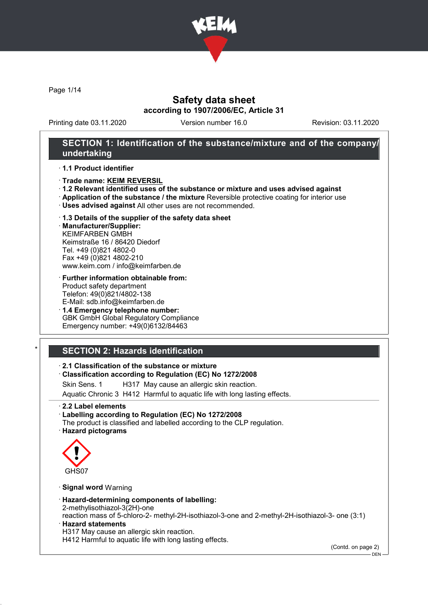

Page 1/14

## Safety data sheet according to 1907/2006/EC, Article 31

Printing date 03.11.2020 Version number 16.0 Revision: 03.11.2020

### SECTION 1: Identification of the substance/mixture and of the company/ undertaking

#### · 1.1 Product identifier

- · Trade name: KEIM REVERSIL
- · 1.2 Relevant identified uses of the substance or mixture and uses advised against
- · Application of the substance / the mixture Reversible protective coating for interior use
- · Uses advised against All other uses are not recommended.

#### · 1.3 Details of the supplier of the safety data sheet · Manufacturer/Supplier:

KEIMFARBEN GMBH Keimstraße 16 / 86420 Diedorf Tel. +49 (0)821 4802-0 Fax +49 (0)821 4802-210 www.keim.com / info@keimfarben.de

- · Further information obtainable from: Product safety department Telefon: 49(0)821/4802-138 E-Mail: sdb.info@keimfarben.de
- · 1.4 Emergency telephone number: GBK GmbH Global Regulatory Compliance Emergency number: +49(0)6132/84463

# **SECTION 2: Hazards identification**

### · 2.1 Classification of the substance or mixture

#### · Classification according to Regulation (EC) No 1272/2008

Skin Sens. 1 H317 May cause an allergic skin reaction.

Aquatic Chronic 3 H412 Harmful to aquatic life with long lasting effects.

- · 2.2 Label elements
- · Labelling according to Regulation (EC) No 1272/2008
- The product is classified and labelled according to the CLP regulation. · Hazard pictograms



### · Signal word Warning

· Hazard-determining components of labelling:

2-methylisothiazol-3(2H)-one

reaction mass of 5-chloro-2- methyl-2H-isothiazol-3-one and 2-methyl-2H-isothiazol-3- one (3:1) · Hazard statements

H317 May cause an allergic skin reaction.

H412 Harmful to aquatic life with long lasting effects.

(Contd. on page 2)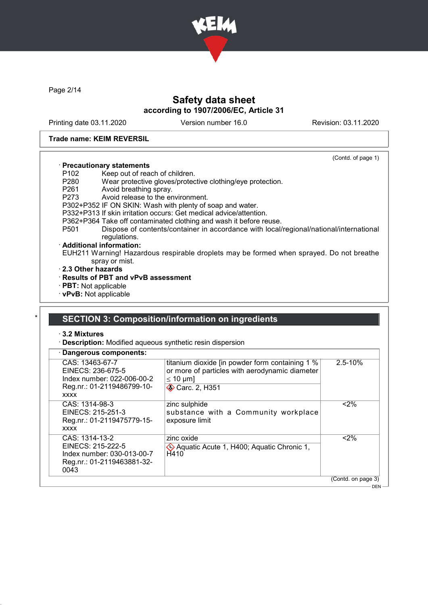

Page 2/14

## Safety data sheet according to 1907/2006/EC, Article 31

Printing date 03.11.2020 Version number 16.0 Revision: 03.11.2020

(Contd. of page 1)

#### Trade name: KEIM REVERSIL

### · Precautionary statements

- P102 Keep out of reach of children.<br>P280 Wear protective gloves/proted
- P280 Wear protective gloves/protective clothing/eye protection.
- P261 Avoid breathing spray.<br>P273 Avoid release to the er
- Avoid release to the environment.
- P302+P352 IF ON SKIN: Wash with plenty of soap and water.
- P332+P313 If skin irritation occurs: Get medical advice/attention.
- P362+P364 Take off contaminated clothing and wash it before reuse.
- Dispose of contents/container in accordance with local/regional/national/international regulations.

#### · Additional information:

EUH211 Warning! Hazardous respirable droplets may be formed when sprayed. Do not breathe spray or mist.

- · 2.3 Other hazards
- · Results of PBT and vPvB assessment
- · PBT: Not applicable
- · vPvB: Not applicable

## SECTION 3: Composition/information on ingredients

· 3.2 Mixtures

· Description: Modified aqueous synthetic resin dispersion

| · Dangerous components:                                                                                         |                                                                                                                                     |                    |
|-----------------------------------------------------------------------------------------------------------------|-------------------------------------------------------------------------------------------------------------------------------------|--------------------|
| CAS: 13463-67-7<br>EINECS: 236-675-5<br>Index number: 022-006-00-2<br>Reg.nr.: 01-2119486799-10-<br><b>XXXX</b> | titanium dioxide [in powder form containing 1 %<br>or more of particles with aerodynamic diameter<br>$\leq 10$ µm]<br>Carc. 2, H351 | $2.5 - 10%$        |
| CAS: 1314-98-3<br>EINECS: 215-251-3<br>Reg.nr.: 01-2119475779-15-<br><b>XXXX</b>                                | zinc sulphide<br>substance with a Community workplace<br>exposure limit                                                             | $2\%$              |
| CAS: 1314-13-2<br>EINECS: 215-222-5<br>Index number: 030-013-00-7<br>Reg.nr.: 01-2119463881-32-<br>0043         | zinc oxide<br>Aquatic Acute 1, H400; Aquatic Chronic 1,<br>H410                                                                     | $2\%$              |
|                                                                                                                 |                                                                                                                                     | (Contd. on page 3) |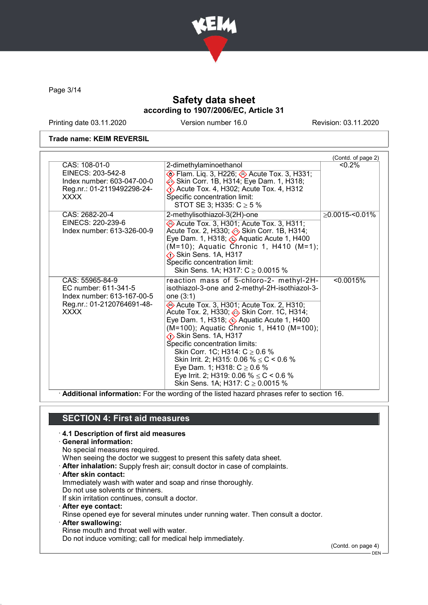

Page 3/14

## Safety data sheet according to 1907/2006/EC, Article 31

Printing date 03.11.2020 Version number 16.0 Revision: 03.11.2020

#### Trade name: KEIM REVERSIL

|                                                                                                                    |                                                                                                                                                                                                                                                                                                                                                                                                                                                                                                                                                                                      | (Contd. of page 2)   |
|--------------------------------------------------------------------------------------------------------------------|--------------------------------------------------------------------------------------------------------------------------------------------------------------------------------------------------------------------------------------------------------------------------------------------------------------------------------------------------------------------------------------------------------------------------------------------------------------------------------------------------------------------------------------------------------------------------------------|----------------------|
| CAS: 108-01-0<br>EINECS: 203-542-8<br>Index number: 603-047-00-0<br>Reg.nr.: 01-2119492298-24-<br><b>XXXX</b>      | 2-dimethylaminoethanol<br><b>♦ Flam. Liq. 3, H226; ♦ Acute Tox. 3, H331;</b><br>Skin Corr. 1B, H314; Eye Dam. 1, H318;<br>$\diamondsuit$ Acute Tox. 4, H302; Acute Tox. 4, H312<br>Specific concentration limit:<br>STOT SE 3; H335: $C \ge 5$ %                                                                                                                                                                                                                                                                                                                                     | $< 0.2\%$            |
| CAS: 2682-20-4<br>EINECS: 220-239-6<br>Index number: 613-326-00-9                                                  | 2-methylisothiazol-3(2H)-one<br>Acute Tox. 3, H301; Acute Tox. 3, H311;<br>Acute Tox. 2, H330; (b) Skin Corr. 1B, H314;<br>Eye Dam. 1, H318; $\otimes$ Aquatic Acute 1, H400<br>(M=10); Aquatic Chronic 1, H410 (M=1);<br><b>Skin Sens. 1A, H317</b><br>Specific concentration limit:<br>Skin Sens. 1A; H317: $C \ge 0.0015$ %                                                                                                                                                                                                                                                       | $\geq$ 0.0015-<0.01% |
| CAS: 55965-84-9<br>EC number: 611-341-5<br>Index number: 613-167-00-5<br>Reg.nr.: 01-2120764691-48-<br><b>XXXX</b> | reaction mass of 5-chloro-2- methyl-2H-<br>isothiazol-3-one and 2-methyl-2H-isothiazol-3-<br>one (3:1)<br>Acute Tox. 3, H301; Acute Tox. 2, H310;<br>Acute Tox. 2, H330; Skin Corr. 1C, H314;<br>Eye Dam. 1, H318; $\circledast$ Aquatic Acute 1, H400<br>(M=100); Aquatic Chronic 1, H410 (M=100);<br><b>Skin Sens. 1A, H317</b><br>Specific concentration limits:<br>Skin Corr. 1C; H314: $C \ge 0.6$ %<br>Skin Irrit. 2; H315: 0.06 % $\leq$ C < 0.6 %<br>Eye Dam. 1; H318: $C \ge 0.6$ %<br>Eye Irrit. 2; H319: 0.06 % $\leq$ C < 0.6 %<br>Skin Sens. 1A; H317: $C \ge 0.0015$ % | < 0.0015%            |

· Additional information: For the wording of the listed hazard phrases refer to section 16.

### SECTION 4: First aid measures

#### · 4.1 Description of first aid measures

· General information:

No special measures required.

When seeing the doctor we suggest to present this safety data sheet.

- · After inhalation: Supply fresh air; consult doctor in case of complaints.
- · After skin contact:

Immediately wash with water and soap and rinse thoroughly.

Do not use solvents or thinners.

If skin irritation continues, consult a doctor.

· After eye contact:

Rinse opened eye for several minutes under running water. Then consult a doctor.

· After swallowing:

Rinse mouth and throat well with water.

Do not induce vomiting; call for medical help immediately.

(Contd. on page 4)

<sup>.&</sup>lt;br>- DEN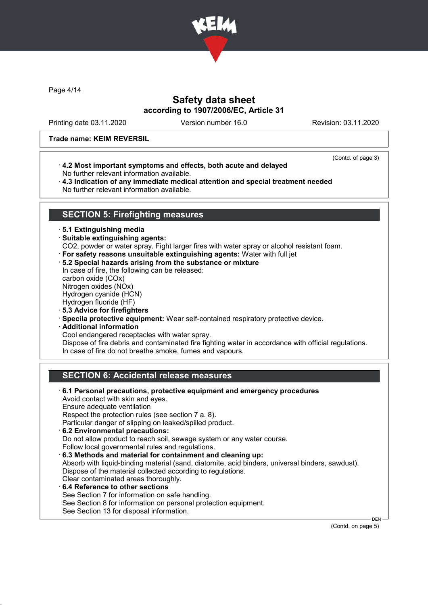

Page 4/14

## Safety data sheet according to 1907/2006/EC, Article 31

Printing date 03.11.2020 Version number 16.0 Revision: 03.11.2020

(Contd. of page 3)

#### Trade name: KEIM REVERSIL

- · 4.2 Most important symptoms and effects, both acute and delayed No further relevant information available. · 4.3 Indication of any immediate medical attention and special treatment needed
- No further relevant information available.

### SECTION 5: Firefighting measures

· 5.1 Extinguishing media

· Suitable extinguishing agents:

CO2, powder or water spray. Fight larger fires with water spray or alcohol resistant foam.

- · For safety reasons unsuitable extinguishing agents: Water with full jet
- · 5.2 Special hazards arising from the substance or mixture

In case of fire, the following can be released: carbon oxide (COx) Nitrogen oxides (NOx)

Hydrogen cyanide (HCN)

Hydrogen fluoride (HF)

- · 5.3 Advice for firefighters
- · Specila protective equipment: Wear self-contained respiratory protective device.
- · Additional information

Cool endangered receptacles with water spray.

Dispose of fire debris and contaminated fire fighting water in accordance with official regulations. In case of fire do not breathe smoke, fumes and vapours.

## SECTION 6: Accidental release measures

· 6.1 Personal precautions, protective equipment and emergency procedures Avoid contact with skin and eyes. Ensure adequate ventilation Respect the protection rules (see section 7 a. 8). Particular danger of slipping on leaked/spilled product. · 6.2 Environmental precautions: Do not allow product to reach soil, sewage system or any water course. Follow local governmental rules and regulations. · 6.3 Methods and material for containment and cleaning up: Absorb with liquid-binding material (sand, diatomite, acid binders, universal binders, sawdust). Dispose of the material collected according to regulations. Clear contaminated areas thoroughly. 6.4 Reference to other sections See Section 7 for information on safe handling. See Section 8 for information on personal protection equipment. See Section 13 for disposal information.

(Contd. on page 5)

DEN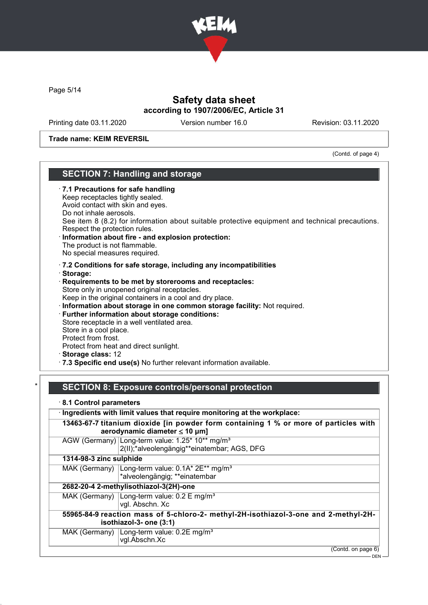

Page 5/14

## Safety data sheet according to 1907/2006/EC, Article 31

Printing date 03.11.2020 Version number 16.0 Revision: 03.11.2020

Trade name: KEIM REVERSIL

(Contd. of page 4)

### SECTION 7: Handling and storage

| $\cdot$ 7.1 Precautions for safe handling<br>Keep receptacles tightly sealed.<br>Avoid contact with skin and eyes.<br>Do not inhale aerosols.<br>See item 8 (8.2) for information about suitable protective equipment and technical precautions.<br>Respect the protection rules.<br>· Information about fire - and explosion protection:<br>The product is not flammable.<br>No special measures required.                                                                                                                                                                                                                         |  |
|-------------------------------------------------------------------------------------------------------------------------------------------------------------------------------------------------------------------------------------------------------------------------------------------------------------------------------------------------------------------------------------------------------------------------------------------------------------------------------------------------------------------------------------------------------------------------------------------------------------------------------------|--|
| $\cdot$ 7.2 Conditions for safe storage, including any incompatibilities<br>· Storage:<br>Requirements to be met by storerooms and receptacles:<br>Store only in unopened original receptacles.<br>Keep in the original containers in a cool and dry place.<br>· Information about storage in one common storage facility: Not required.<br>· Further information about storage conditions:<br>Store receptacle in a well ventilated area.<br>Store in a cool place.<br>Protect from frost.<br>Protect from heat and direct sunlight.<br>· Storage class: 12<br>.7.3 Specific end use(s) No further relevant information available. |  |

# SECTION 8: Exposure controls/personal protection

· 8.1 Control parameters

· Ingredients with limit values that require monitoring at the workplace: 13463-67-7 titanium dioxide [in powder form containing 1 % or more of particles with aerodynamic diameter ≤ 10 μm] AGW (Germany) Long-term value: 1.25\* 10\*\* mg/m<sup>3</sup> 2(II);\*alveolengängig\*\*einatembar; AGS, DFG 1314-98-3 zinc sulphide MAK (Germany) Long-term value: 0.1A\* 2E\*\* mg/m<sup>3</sup> \*alveolengängig; \*\*einatembar 2682-20-4 2-methylisothiazol-3(2H)-one MAK (Germany) Long-term value: 0.2 E mg/m<sup>3</sup> vgl. Abschn. Xc 55965-84-9 reaction mass of 5-chloro-2- methyl-2H-isothiazol-3-one and 2-methyl-2Hisothiazol-3- one (3:1) MAK (Germany) Long-term value: 0.2E mg/m<sup>3</sup> vgl.Abschn.Xc (Contd. on page 6) - DEN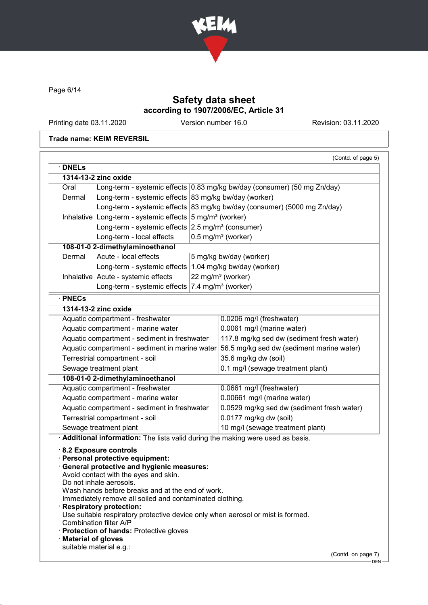

Page 6/14

# Safety data sheet according to 1907/2006/EC, Article 31

Printing date 03.11.2020 Version number 16.0 Revision: 03.11.2020

### Trade name: KEIM REVERSIL

| <b>DNELs</b>                                                        |                                                                                                                                                                                                                                                                                                                                                                                                                                                                                          | (Contd. of page 5)                                                                                                |
|---------------------------------------------------------------------|------------------------------------------------------------------------------------------------------------------------------------------------------------------------------------------------------------------------------------------------------------------------------------------------------------------------------------------------------------------------------------------------------------------------------------------------------------------------------------------|-------------------------------------------------------------------------------------------------------------------|
|                                                                     | 1314-13-2 zinc oxide                                                                                                                                                                                                                                                                                                                                                                                                                                                                     |                                                                                                                   |
| Oral                                                                |                                                                                                                                                                                                                                                                                                                                                                                                                                                                                          | Long-term - systemic effects 0.83 mg/kg bw/day (consumer) (50 mg Zn/day)                                          |
| Dermal                                                              | Long-term - systemic effects 83 mg/kg bw/day (worker)                                                                                                                                                                                                                                                                                                                                                                                                                                    |                                                                                                                   |
|                                                                     |                                                                                                                                                                                                                                                                                                                                                                                                                                                                                          | Long-term - systemic effects 83 mg/kg bw/day (consumer) (5000 mg Zn/day)                                          |
| Inhalative Long-term - systemic effects $5 \text{ mg/m}^3$ (worker) |                                                                                                                                                                                                                                                                                                                                                                                                                                                                                          |                                                                                                                   |
|                                                                     | Long-term - systemic effects $2.5 \text{ mg/m}^3$ (consumer)                                                                                                                                                                                                                                                                                                                                                                                                                             |                                                                                                                   |
|                                                                     | Long-term - local effects                                                                                                                                                                                                                                                                                                                                                                                                                                                                | $0.5$ mg/m <sup>3</sup> (worker)                                                                                  |
|                                                                     | 108-01-0 2-dimethylaminoethanol                                                                                                                                                                                                                                                                                                                                                                                                                                                          |                                                                                                                   |
| Dermal                                                              | Acute - local effects                                                                                                                                                                                                                                                                                                                                                                                                                                                                    | 5 mg/kg bw/day (worker)                                                                                           |
|                                                                     | Long-term - systemic effects   1.04 mg/kg bw/day (worker)                                                                                                                                                                                                                                                                                                                                                                                                                                |                                                                                                                   |
|                                                                     | Inhalative Acute - systemic effects                                                                                                                                                                                                                                                                                                                                                                                                                                                      | 22 mg/m <sup>3</sup> (worker)                                                                                     |
|                                                                     | Long-term - systemic effects                                                                                                                                                                                                                                                                                                                                                                                                                                                             | 7.4 mg/m <sup>3</sup> (worker)                                                                                    |
| · PNECs                                                             |                                                                                                                                                                                                                                                                                                                                                                                                                                                                                          |                                                                                                                   |
|                                                                     | 1314-13-2 zinc oxide                                                                                                                                                                                                                                                                                                                                                                                                                                                                     |                                                                                                                   |
|                                                                     | Aquatic compartment - freshwater                                                                                                                                                                                                                                                                                                                                                                                                                                                         | 0.0206 mg/l (freshwater)                                                                                          |
|                                                                     |                                                                                                                                                                                                                                                                                                                                                                                                                                                                                          |                                                                                                                   |
|                                                                     | Aquatic compartment - marine water                                                                                                                                                                                                                                                                                                                                                                                                                                                       | 0.0061 mg/l (marine water)                                                                                        |
|                                                                     | Aquatic compartment - sediment in freshwater                                                                                                                                                                                                                                                                                                                                                                                                                                             | 117.8 mg/kg sed dw (sediment fresh water)                                                                         |
|                                                                     | Aquatic compartment - sediment in marine water                                                                                                                                                                                                                                                                                                                                                                                                                                           | 56.5 mg/kg sed dw (sediment marine water)                                                                         |
|                                                                     | Terrestrial compartment - soil                                                                                                                                                                                                                                                                                                                                                                                                                                                           | 35.6 mg/kg dw (soil)                                                                                              |
|                                                                     | Sewage treatment plant                                                                                                                                                                                                                                                                                                                                                                                                                                                                   | 0.1 mg/l (sewage treatment plant)                                                                                 |
|                                                                     | 108-01-0 2-dimethylaminoethanol                                                                                                                                                                                                                                                                                                                                                                                                                                                          |                                                                                                                   |
|                                                                     | Aquatic compartment - freshwater                                                                                                                                                                                                                                                                                                                                                                                                                                                         | 0.0661 mg/l (freshwater)                                                                                          |
|                                                                     | Aquatic compartment - marine water                                                                                                                                                                                                                                                                                                                                                                                                                                                       | 0.00661 mg/l (marine water)                                                                                       |
|                                                                     | Aquatic compartment - sediment in freshwater                                                                                                                                                                                                                                                                                                                                                                                                                                             | 0.0529 mg/kg sed dw (sediment fresh water)                                                                        |
|                                                                     | Terrestrial compartment - soil                                                                                                                                                                                                                                                                                                                                                                                                                                                           | 0.0177 mg/kg dw (soil)                                                                                            |
|                                                                     | Sewage treatment plant                                                                                                                                                                                                                                                                                                                                                                                                                                                                   | 10 mg/l (sewage treatment plant)<br>Additional information: The lists valid during the making were used as basis. |
|                                                                     | 8.2 Exposure controls<br>Personal protective equipment:<br><b>General protective and hygienic measures:</b><br>Avoid contact with the eyes and skin.<br>Do not inhale aerosols.<br>Wash hands before breaks and at the end of work.<br>Immediately remove all soiled and contaminated clothing.<br><b>Respiratory protection:</b><br>Use suitable respiratory protective device only when aerosol or mist is formed.<br>Combination filter A/P<br>Protection of hands: Protective gloves |                                                                                                                   |
| <b>Material of gloves</b>                                           | suitable material e.g.:                                                                                                                                                                                                                                                                                                                                                                                                                                                                  |                                                                                                                   |
|                                                                     |                                                                                                                                                                                                                                                                                                                                                                                                                                                                                          |                                                                                                                   |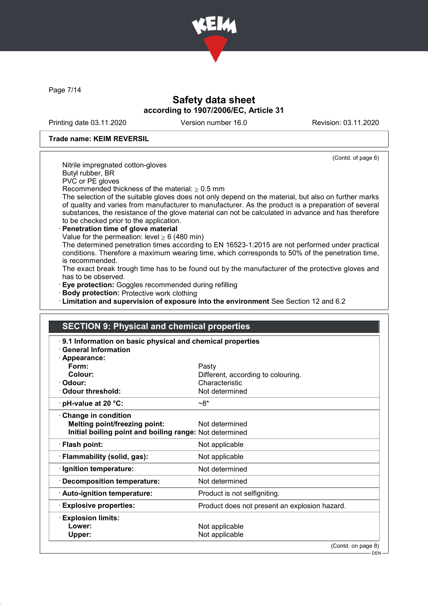

Page 7/14

## Safety data sheet according to 1907/2006/EC, Article 31

Printing date 03.11.2020 Version number 16.0 Revision: 03.11.2020

(Contd. of page 6)

#### Trade name: KEIM REVERSIL

Nitrile impregnated cotton-gloves

Butyl rubber, BR

PVC or PE gloves

Recommended thickness of the material:  $\geq 0.5$  mm

The selection of the suitable gloves does not only depend on the material, but also on further marks of quality and varies from manufacturer to manufacturer. As the product is a preparation of several substances, the resistance of the glove material can not be calculated in advance and has therefore to be checked prior to the application.

### Penetration time of glove material

Value for the permeation: level  $\geq 6$  (480 min)

The determined penetration times according to EN 16523-1:2015 are not performed under practical conditions. Therefore a maximum wearing time, which corresponds to 50% of the penetration time, is recommended.

The exact break trough time has to be found out by the manufacturer of the protective gloves and has to be observed.

· Eye protection: Goggles recommended during refilling

· Body protection: Protective work clothing

· Limitation and supervision of exposure into the environment See Section 12 and 6.2

| <b>SECTION 9: Physical and chemical properties</b>        |                                               |
|-----------------------------------------------------------|-----------------------------------------------|
| 9.1 Information on basic physical and chemical properties |                                               |
| <b>General Information</b>                                |                                               |
| · Appearance:                                             |                                               |
| Form:                                                     | Pasty                                         |
| Colour:                                                   | Different, according to colouring.            |
| · Odour:                                                  | Characteristic                                |
| · Odour threshold:                                        | Not determined                                |
| $\cdot$ pH-value at 20 $\degree$ C:                       | $~28*$                                        |
| Change in condition                                       |                                               |
| <b>Melting point/freezing point:</b>                      | Not determined                                |
| Initial boiling point and boiling range: Not determined   |                                               |
| · Flash point:                                            | Not applicable                                |
| · Flammability (solid, gas):                              | Not applicable                                |
| · Ignition temperature:                                   | Not determined                                |
| · Decomposition temperature:                              | Not determined                                |
| · Auto-ignition temperature:                              | Product is not selfigniting.                  |
| <b>Explosive properties:</b>                              | Product does not present an explosion hazard. |
| <b>Explosion limits:</b>                                  |                                               |
| Lower:                                                    | Not applicable                                |
| Upper:                                                    | Not applicable                                |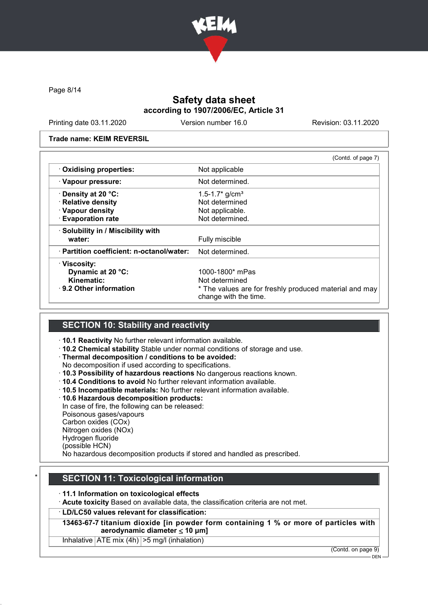

Page 8/14

## Safety data sheet according to 1907/2006/EC, Article 31

Printing date 03.11.2020 Version number 16.0 Revision: 03.11.2020

#### Trade name: KEIM REVERSIL

|                                           | (Contd. of page 7)                                                              |
|-------------------------------------------|---------------------------------------------------------------------------------|
| · Oxidising properties:                   | Not applicable                                                                  |
| · Vapour pressure:                        | Not determined.                                                                 |
| <b>⋅Density at 20 °C:</b>                 | 1.5-1.7 $*$ g/cm <sup>3</sup>                                                   |
| · Relative density                        | Not determined                                                                  |
| · Vapour density                          | Not applicable.                                                                 |
| <b>Evaporation rate</b>                   | Not determined.                                                                 |
| · Solubility in / Miscibility with        |                                                                                 |
| water:                                    | Fully miscible                                                                  |
| · Partition coefficient: n-octanol/water: | Not determined.                                                                 |
| · Viscosity:                              |                                                                                 |
| Dynamic at 20 °C:                         | 1000-1800* mPas                                                                 |
| <b>Kinematic:</b>                         | Not determined                                                                  |
| $\cdot$ 9.2 Other information             | * The values are for freshly produced material and may<br>change with the time. |

## SECTION 10: Stability and reactivity

· 10.1 Reactivity No further relevant information available.

· 10.2 Chemical stability Stable under normal conditions of storage and use.

· Thermal decomposition / conditions to be avoided:

No decomposition if used according to specifications.

- · 10.3 Possibility of hazardous reactions No dangerous reactions known.
- · 10.4 Conditions to avoid No further relevant information available.
- · 10.5 Incompatible materials: No further relevant information available.

· 10.6 Hazardous decomposition products:

In case of fire, the following can be released:

Poisonous gases/vapours

Carbon oxides (COx)

Nitrogen oxides (NOx)

Hydrogen fluoride (possible HCN)

No hazardous decomposition products if stored and handled as prescribed.

## **SECTION 11: Toxicological information**

### · 11.1 Information on toxicological effects

· Acute toxicity Based on available data, the classification criteria are not met.

### · LD/LC50 values relevant for classification:

13463-67-7 titanium dioxide [in powder form containing 1 % or more of particles with aerodynamic diameter  $\leq 10$  µm]

Inhalative  $ATE \text{ mix } (4h)$   $>> \text{ mal}$  (inhalation)

(Contd. on page 9)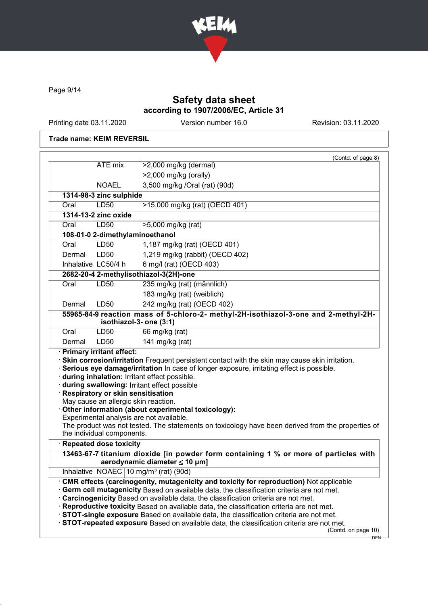

Page 9/14

## Safety data sheet according to 1907/2006/EC, Article 31

Printing date 03.11.2020 Version number 16.0 Revision: 03.11.2020

### Trade name: KEIM REVERSIL

|        |                                                                                                         | (Contd. of page 8)                                                                                                                                                                                                                                                                                 |
|--------|---------------------------------------------------------------------------------------------------------|----------------------------------------------------------------------------------------------------------------------------------------------------------------------------------------------------------------------------------------------------------------------------------------------------|
|        | <b>ATE</b> mix                                                                                          | >2,000 mg/kg (dermal)                                                                                                                                                                                                                                                                              |
|        |                                                                                                         | >2,000 mg/kg (orally)                                                                                                                                                                                                                                                                              |
|        | <b>NOAEL</b>                                                                                            | 3,500 mg/kg /Oral (rat) (90d)                                                                                                                                                                                                                                                                      |
|        | 1314-98-3 zinc sulphide                                                                                 |                                                                                                                                                                                                                                                                                                    |
| Oral   | LD50                                                                                                    | >15,000 mg/kg (rat) (OECD 401)                                                                                                                                                                                                                                                                     |
|        | 1314-13-2 zinc oxide                                                                                    |                                                                                                                                                                                                                                                                                                    |
| Oral   | LD50                                                                                                    | >5,000 mg/kg (rat)                                                                                                                                                                                                                                                                                 |
|        | 108-01-0 2-dimethylaminoethanol                                                                         |                                                                                                                                                                                                                                                                                                    |
| Oral   | <b>LD50</b>                                                                                             | 1,187 mg/kg (rat) (OECD 401)                                                                                                                                                                                                                                                                       |
| Dermal | LD50                                                                                                    | 1,219 mg/kg (rabbit) (OECD 402)                                                                                                                                                                                                                                                                    |
|        | Inhalative   LC50/4 h                                                                                   | 6 mg/l (rat) (OECD 403)                                                                                                                                                                                                                                                                            |
|        |                                                                                                         | 2682-20-4 2-methylisothiazol-3(2H)-one                                                                                                                                                                                                                                                             |
| Oral   | <b>LD50</b>                                                                                             | 235 mg/kg (rat) (männlich)                                                                                                                                                                                                                                                                         |
|        |                                                                                                         | 183 mg/kg (rat) (weiblich)                                                                                                                                                                                                                                                                         |
| Dermal | LD50                                                                                                    | 242 mg/kg (rat) (OECD 402)                                                                                                                                                                                                                                                                         |
|        | isothiazol-3- one (3:1)                                                                                 | 55965-84-9 reaction mass of 5-chloro-2- methyl-2H-isothiazol-3-one and 2-methyl-2H-                                                                                                                                                                                                                |
| Oral   | LD50                                                                                                    | 66 mg/kg (rat)                                                                                                                                                                                                                                                                                     |
| Dermal | LD50                                                                                                    | 141 mg/kg (rat)                                                                                                                                                                                                                                                                                    |
|        | · Primary irritant effect:                                                                              | Skin corrosion/irritation Frequent persistent contact with the skin may cause skin irritation.<br>Serious eye damage/irritation In case of longer exposure, irritating effect is possible.                                                                                                         |
|        | Respiratory or skin sensitisation<br>May cause an allergic skin reaction.<br>the individual components. | during inhalation: Irritant effect possible.<br>during swallowing: Irritant effect possible<br>Other information (about experimental toxicology):<br>Experimental analysis are not available.<br>The product was not tested. The statements on toxicology have been derived from the properties of |
|        | Repeated dose toxicity                                                                                  |                                                                                                                                                                                                                                                                                                    |
|        |                                                                                                         | aerodynamic diameter $\leq 10$ µm]                                                                                                                                                                                                                                                                 |
|        |                                                                                                         | 13463-67-7 titanium dioxide [in powder form containing 1 % or more of particles with<br>Inhalative   NOAEC   10 mg/m <sup>3</sup> (rat) (90d)<br>. CMR effects (carcinogenity, mutagenicity and toxicity for reproduction) Not applicable                                                          |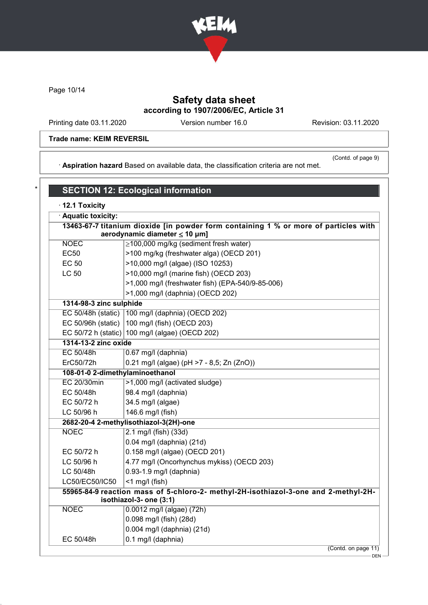

Page 10/14

# Safety data sheet according to 1907/2006/EC, Article 31

Printing date 03.11.2020 Version number 16.0 Revision: 03.11.2020

(Contd. of page 9)

### Trade name: KEIM REVERSIL

· Aspiration hazard Based on available data, the classification criteria are not met.

| · Aquatic toxicity:             |                                                                                                                            |
|---------------------------------|----------------------------------------------------------------------------------------------------------------------------|
|                                 | 13463-67-7 titanium dioxide [in powder form containing 1 % or more of particles with<br>aerodynamic diameter $\leq$ 10 µm] |
| <b>NOEC</b>                     | $\geq$ 100,000 mg/kg (sediment fresh water)                                                                                |
| <b>EC50</b>                     | >100 mg/kg (freshwater alga) (OECD 201)                                                                                    |
| EC 50                           | >10,000 mg/l (algae) (ISO 10253)                                                                                           |
| <b>LC 50</b>                    | >10,000 mg/l (marine fish) (OECD 203)                                                                                      |
|                                 | >1,000 mg/l (freshwater fish) (EPA-540/9-85-006)                                                                           |
|                                 | >1,000 mg/l (daphnia) (OECD 202)                                                                                           |
| 1314-98-3 zinc sulphide         |                                                                                                                            |
|                                 | EC 50/48h (static)   100 mg/l (daphnia) (OECD 202)                                                                         |
|                                 | EC 50/96h (static) $ 100 \text{ mg/l}$ (fish) (OECD 203)                                                                   |
|                                 | EC 50/72 h (static) 100 mg/l (algae) (OECD 202)                                                                            |
| 1314-13-2 zinc oxide            |                                                                                                                            |
| EC 50/48h                       | 0.67 mg/l (daphnia)                                                                                                        |
| ErC50/72h                       | 0.21 mg/l (algae) (pH >7 - 8,5; Zn (ZnO))                                                                                  |
| 108-01-0 2-dimethylaminoethanol |                                                                                                                            |
| <b>EC 20/30min</b>              | >1,000 mg/l (activated sludge)                                                                                             |
| EC 50/48h                       | 98.4 mg/l (daphnia)                                                                                                        |
| EC 50/72 h                      | 34.5 mg/l (algae)                                                                                                          |
| LC 50/96 h                      | 146.6 mg/l (fish)                                                                                                          |
|                                 | 2682-20-4 2-methylisothiazol-3(2H)-one                                                                                     |
| <b>NOEC</b>                     | 2.1 mg/l (fish) (33d)                                                                                                      |
|                                 | 0.04 mg/l (daphnia) (21d)                                                                                                  |
| EC 50/72 h                      | 0.158 mg/l (algae) (OECD 201)                                                                                              |
| LC 50/96 h                      | 4.77 mg/l (Oncorhynchus mykiss) (OECD 203)                                                                                 |
| LC 50/48h                       | 0.93-1.9 mg/l (daphnia)                                                                                                    |
| LC50/EC50/IC50                  | $<$ 1 mg/l (fish)                                                                                                          |
|                                 | 55965-84-9 reaction mass of 5-chloro-2- methyl-2H-isothiazol-3-one and 2-methyl-2H-<br>isothiazol-3- one (3:1)             |
| <b>NOEC</b>                     | 0.0012 mg/l (algae) (72h)                                                                                                  |
|                                 | 0.098 mg/l (fish) (28d)                                                                                                    |
|                                 | 0.004 mg/l (daphnia) (21d)                                                                                                 |
| EC 50/48h                       | 0.1 mg/l (daphnia)                                                                                                         |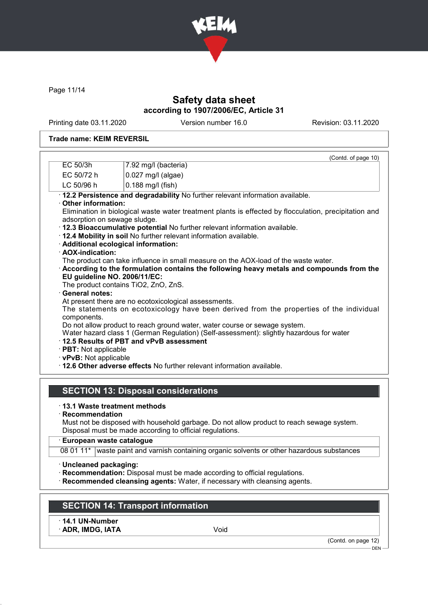

Page 11/14

## Safety data sheet according to 1907/2006/EC, Article 31

Printing date 03.11.2020 Version number 16.0 Revision: 03.11.2020

### Trade name: KEIM REVERSIL

|                                                    | (Contd. of page 10)                                                                                                     |
|----------------------------------------------------|-------------------------------------------------------------------------------------------------------------------------|
| EC 50/3h                                           | 7.92 mg/l (bacteria)                                                                                                    |
| EC 50/72 h                                         | $0.027$ mg/l (algae)                                                                                                    |
| LC 50/96 h                                         | $0.188$ mg/l (fish)                                                                                                     |
|                                                    | · 12.2 Persistence and degradability No further relevant information available.                                         |
| Other information:<br>adsorption on sewage sludge. | Elimination in biological waste water treatment plants is effected by flocculation, precipitation and                   |
|                                                    | . 12.3 Bioaccumulative potential No further relevant information available.                                             |
|                                                    | . 12.4 Mobility in soil No further relevant information available.                                                      |
|                                                    | · Additional ecological information:                                                                                    |
| · AOX-indication:                                  |                                                                                                                         |
|                                                    | The product can take influence in small measure on the AOX-load of the waste water.                                     |
|                                                    | According to the formulation contains the following heavy metals and compounds from the<br>EU guideline NO. 2006/11/EC: |
|                                                    | The product contains TiO2, ZnO, ZnS.                                                                                    |
| <b>General notes:</b>                              |                                                                                                                         |
|                                                    | At present there are no ecotoxicological assessments.                                                                   |
| components.                                        | The statements on ecotoxicology have been derived from the properties of the individual                                 |
|                                                    | Do not allow product to reach ground water, water course or sewage system.                                              |
|                                                    | Water hazard class 1 (German Regulation) (Self-assessment): slightly hazardous for water                                |
|                                                    | 12.5 Results of PBT and vPvB assessment                                                                                 |
| · PBT: Not applicable<br>· vPvB: Not applicable    |                                                                                                                         |
|                                                    | . 12.6 Other adverse effects No further relevant information available.                                                 |
|                                                    |                                                                                                                         |
|                                                    | <b>SECTION 13: Disposal considerations</b>                                                                              |
|                                                    |                                                                                                                         |
|                                                    | ⋅13.1 Waste treatment methods                                                                                           |
| Recommendation                                     |                                                                                                                         |
|                                                    | Must not be disposed with household garbage. Do not allow product to reach sewage system.                               |
|                                                    | Disposal must be made according to official regulations.                                                                |

#### · European waste catalogue

08 01 11\* waste paint and varnish containing organic solvents or other hazardous substances

- · Uncleaned packaging:
- · Recommendation: Disposal must be made according to official regulations.
- · Recommended cleansing agents: Water, if necessary with cleansing agents.

# SECTION 14: Transport information

· 14.1 UN-Number

· ADR, IMDG, IATA Void

(Contd. on page 12)

DEN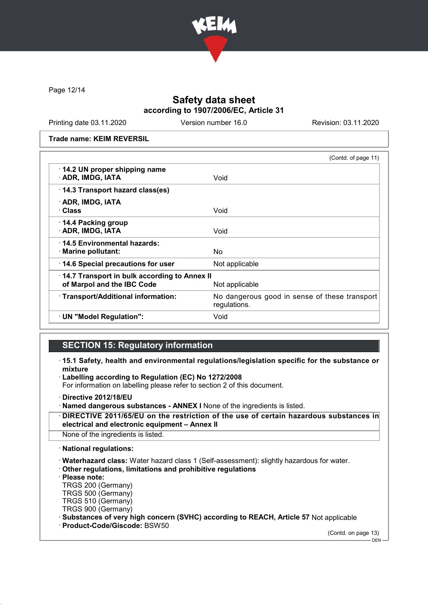

Page 12/14

## Safety data sheet according to 1907/2006/EC, Article 31

Printing date 03.11.2020 Version number 16.0 Revision: 03.11.2020

Trade name: KEIM REVERSIL

|                                                                            | (Contd. of page 11)                                           |
|----------------------------------------------------------------------------|---------------------------------------------------------------|
| 14.2 UN proper shipping name<br>· ADR, IMDG, IATA                          | Void                                                          |
| 14.3 Transport hazard class(es)                                            |                                                               |
| · ADR, IMDG, IATA                                                          |                                                               |
| · Class                                                                    | Void                                                          |
| $\cdot$ 14.4 Packing group<br>· ADR, IMDG, IATA                            | Void                                                          |
| ⋅14.5 Environmental hazards:<br>$\cdot$ Marine pollutant:                  | No.                                                           |
| 14.6 Special precautions for user                                          | Not applicable                                                |
| 14.7 Transport in bulk according to Annex II<br>of Marpol and the IBC Code | Not applicable                                                |
| · Transport/Additional information:                                        | No dangerous good in sense of these transport<br>regulations. |
| · UN "Model Regulation":                                                   | Void                                                          |

### SECTION 15: Regulatory information

- · 15.1 Safety, health and environmental regulations/legislation specific for the substance or mixture
- Labelling according to Regulation (EC) No 1272/2008

For information on labelling please refer to section 2 of this document.

· Directive 2012/18/EU

- · Named dangerous substances ANNEX I None of the ingredients is listed.
- DIRECTIVE 2011/65/EU on the restriction of the use of certain hazardous substances in electrical and electronic equipment – Annex II

None of the ingredients is listed.

· National regulations:

· Waterhazard class: Water hazard class 1 (Self-assessment): slightly hazardous for water.

· Other regulations, limitations and prohibitive regulations

· Please note:

TRGS 200 (Germany) TRGS 500 (Germany) TRGS 510 (Germany)

TRGS 900 (Germany)

· Substances of very high concern (SVHC) according to REACH, Article 57 Not applicable

· Product-Code/Giscode: BSW50

(Contd. on page 13)

DEN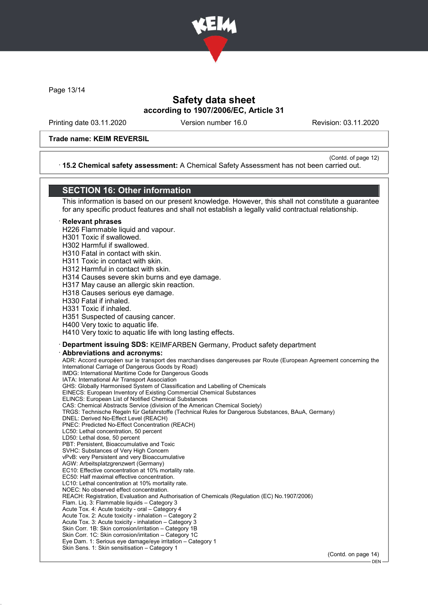

Page 13/14

### Safety data sheet according to 1907/2006/EC, Article 31

Printing date 03.11.2020 Version number 16.0 Revision: 03.11.2020

#### Trade name: KEIM REVERSIL

(Contd. of page 12) · 15.2 Chemical safety assessment: A Chemical Safety Assessment has not been carried out.

## SECTION 16: Other information

This information is based on our present knowledge. However, this shall not constitute a guarantee for any specific product features and shall not establish a legally valid contractual relationship.

### **Relevant phrases**

H226 Flammable liquid and vapour.

H301 Toxic if swallowed.

H302 Harmful if swallowed.

H310 Fatal in contact with skin.

H311 Toxic in contact with skin.

H312 Harmful in contact with skin.

H314 Causes severe skin burns and eye damage.

H317 May cause an allergic skin reaction.

H318 Causes serious eye damage.

H330 Fatal if inhaled.

H331 Toxic if inhaled.

H351 Suspected of causing cancer.

H400 Very toxic to aquatic life.

H410 Very toxic to aquatic life with long lasting effects.

#### · Department issuing SDS: KEIMFARBEN Germany, Product safety department

Abbreviations and acronyms:

ADR: Accord européen sur le transport des marchandises dangereuses par Route (European Agreement concerning the International Carriage of Dangerous Goods by Road) IMDG: International Maritime Code for Dangerous Goods IATA: International Air Transport Association GHS: Globally Harmonised System of Classification and Labelling of Chemicals EINECS: European Inventory of Existing Commercial Chemical Substances ELINCS: European List of Notified Chemical Substances CAS: Chemical Abstracts Service (division of the American Chemical Society) TRGS: Technische Regeln für Gefahrstoffe (Technical Rules for Dangerous Substances, BAuA, Germany) DNEL: Derived No-Effect Level (REACH) PNEC: Predicted No-Effect Concentration (REACH) LC50: Lethal concentration, 50 percent LD50: Lethal dose, 50 percent PBT: Persistent, Bioaccumulative and Toxic SVHC: Substances of Very High Concern vPvB: very Persistent and very Bioaccumulative AGW: Arbeitsplatzgrenzwert (Germany) EC10: Effective concentration at 10% mortality rate. EC50: Half maximal effective concentration. LC10: Lethal concentration at 10% mortality rate. NOEC: No observed effect concentration. REACH: Registration, Evaluation and Authorisation of Chemicals (Regulation (EC) No.1907/2006) Flam. Liq. 3: Flammable liquids – Category 3 Acute Tox. 4: Acute toxicity - oral – Category 4 Acute Tox. 2: Acute toxicity - inhalation – Category 2 Acute Tox. 3: Acute toxicity - inhalation – Category 3 Skin Corr. 1B: Skin corrosion/irritation – Category 1B Skin Corr. 1C: Skin corrosion/irritation – Category 1C Eye Dam. 1: Serious eye damage/eye irritation – Category 1 Skin Sens. 1: Skin sensitisation – Category 1